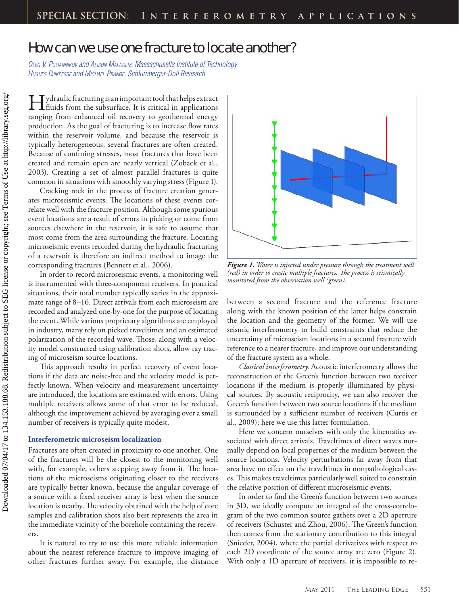# How can we use one fracture to locate another?

OLEG V. POLIANNIKOV and ALISON MALCOLM, Massachusetts Institute of Technology HUGUES DJIKPESSE and MICHAEL PRANGE, Schlumberger-Doll Research

Hydraulic fracturing is an important tool that helps extract<br>fluids from the subsurface. It is critical in applications ranging from enhanced oil recovery to geothermal energy production. As the goal of fracturing is to increase flow rates within the reservoir volume, and because the reservoir is typically heterogeneous, several fractures are often created. Because of confining stresses, most fractures that have been created and remain open are nearly vertical (Zoback et al., 2003). Creating a set of almost parallel fractures is quite common in situations with smoothly varying stress (Figure 1).

Cracking rock in the process of fracture creation generates microseismic events. The locations of these events correlate well with the fracture position. Although some spurious event locations are a result of errors in picking or come from sources elsewhere in the reservoir, it is safe to assume that most come from the area surrounding the fracture. Locating microseismic events recorded during the hydraulic fracturing of a reservoir is therefore an indirect method to image the corresponding fractures (Bennett et al., 2006).

In order to record microseismic events, a monitoring well is instrumented with three-component receivers. In practical situations, their total number typically varies in the approximate range of 8–16. Direct arrivals from each microseism are recorded and analyzed one-by-one for the purpose of locating the event. While various proprietary algorithms are employed in industry, many rely on picked traveltimes and an estimated polarization of the recorded wave. Those, along with a velocity model constructed using calibration shots, allow ray tracing of microseism source locations.

This approach results in perfect recovery of event locations if the data are noise-free and the velocity model is perfectly known. When velocity and measurement uncertainty are introduced, the locations are estimated with errors. Using multiple receivers allows some of that error to be reduced, although the improvement achieved by averaging over a small number of receivers is typically quite modest.

## **Interferometric microseism localization**

Fractures are often created in proximity to one another. One of the fractures will be the closest to the monitoring well with, for example, others stepping away from it. The locations of the microseisms originating closer to the receivers are typically better known, because the angular coverage of a source with a fixed receiver array is best when the source location is nearby. The velocity obtained with the help of core samples and calibration shots also best represents the area in the immediate vicinity of the borehole containing the receivers.

It is natural to try to use this more reliable information about the nearest reference fracture to improve imaging of other fractures further away. For example, the distance



*Figure 1. Water is injected under pressure through the treatment well (red) in order to create multiple fractures. The process is seismically monitored from the observation well (green).*

between a second fracture and the reference fracture along with the known position of the latter helps constrain the location and the geometry of the former. We will use seismic interferometry to build constraints that reduce the uncertainty of microseism locations in a second fracture with reference to a nearer fracture, and improve our understanding of the fracture system as a whole.

*Classical interferometry.* Acoustic interferometry allows the reconstruction of the Green's function between two receiver locations if the medium is properly illuminated by physical sources. By acoustic reciprocity, we can also recover the Green's function between two source locations if the medium is surrounded by a sufficient number of receivers (Curtis et al., 2009); here we use this latter formulation.

Here we concern ourselves with only the kinematics associated with direct arrivals. Traveltimes of direct waves normally depend on local properties of the medium between the source locations. Velocity perturbations far away from that area have no effect on the traveltimes in nonpathological cases. This makes traveltimes particularly well suited to constrain the relative position of different microseismic events.

In order to find the Green's function between two sources in 3D, we ideally compute an integral of the cross-correlogram of the two common source gathers over a 2D aperture of receivers (Schuster and Zhou, 2006). The Green's function then comes from the stationary contribution to this integral (Snieder, 2004), where the partial derivatives with respect to each 2D coordinate of the source array are zero (Figure 2). With only a 1D aperture of receivers, it is impossible to re-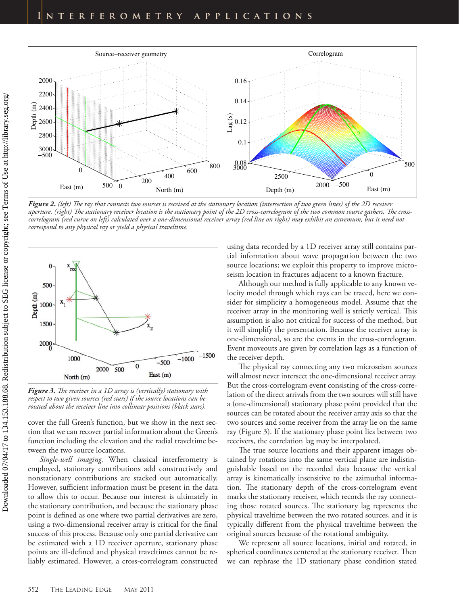

Figure 2. (left) The ray that connects two sources is received at the stationary location (intersection of two green lines) of the 2D receiver aperture. (right) The stationary receiver location is the stationary point of the 2D cross-correlogram of the two common source gathers. The cross*correlogram (red curve on left) calculated over a one-dimensional receiver array (red line on right) may exhibit an extremum, but it need not correspond to any physical ray or yield a physical traveltime.*



*Figure 3. The receiver in a 1D array is (vertically) stationary with respect to two given sources (red stars) if the source locations can be rotated about the receiver line into collinear positions (black stars).*

cover the full Green's function, but we show in the next section that we can recover partial information about the Green's function including the elevation and the radial traveltime between the two source locations.

*Single-well imaging.* When classical interferometry is employed, stationary contributions add constructively and nonstationary contributions are stacked out automatically. However, sufficient information must be present in the data to allow this to occur. Because our interest is ultimately in the stationary contribution, and because the stationary phase point is defined as one where two partial derivatives are zero, using a two-dimensional receiver array is critical for the final success of this process. Because only one partial derivative can be estimated with a 1D receiver aperture, stationary phase points are ill-defined and physical traveltimes cannot be reliably estimated. However, a cross-correlogram constructed using data recorded by a 1D receiver array still contains partial information about wave propagation between the two source locations; we exploit this property to improve microseism location in fractures adjacent to a known fracture.

Although our method is fully applicable to any known velocity model through which rays can be traced, here we consider for simplicity a homogeneous model. Assume that the receiver array in the monitoring well is strictly vertical. This assumption is also not critical for success of the method, but it will simplify the presentation. Because the receiver array is one-dimensional, so are the events in the cross-correlogram. Event moveouts are given by correlation lags as a function of the receiver depth.

The physical ray connecting any two microseism sources will almost never intersect the one-dimensional receiver array. But the cross-correlogram event consisting of the cross-correlation of the direct arrivals from the two sources will still have a (one-dimensional) stationary phase point provided that the sources can be rotated about the receiver array axis so that the two sources and some receiver from the array lie on the same ray (Figure 3). If the stationary phase point lies between two receivers, the correlation lag may be interpolated.

The true source locations and their apparent images obtained by rotations into the same vertical plane are indistinguishable based on the recorded data because the vertical array is kinematically insensitive to the azimuthal information. The stationary depth of the cross-correlogram event marks the stationary receiver, which records the ray connecting those rotated sources. The stationary lag represents the physical traveltime between the two rotated sources, and it is typically different from the physical traveltime between the original sources because of the rotational ambiguity.

We represent all source locations, initial and rotated, in spherical coordinates centered at the stationary receiver. Then we can rephrase the 1D stationary phase condition stated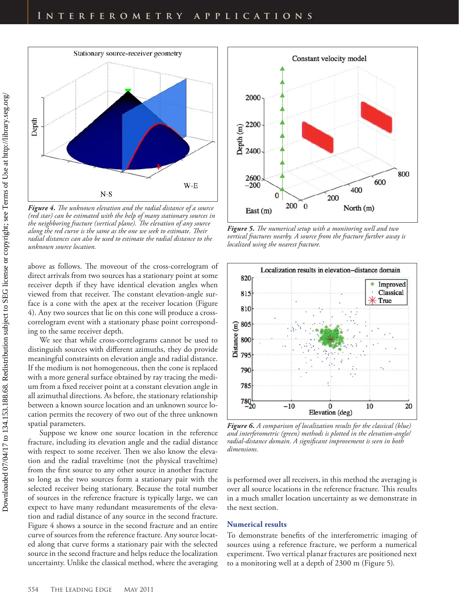

**Figure 4.** The unknown elevation and the radial distance of a source<br>(red star) can be estimated with the help of many stationary sources in *the neighboring fracture (vertical plane). Th e elevation of any source*  along the red curve is the same as the one we seek to estimate. Their *radial distances can also be used to estimate the radial distance to the unknown source location.*

above as follows. The moveout of the cross-correlogram of direct arrivals from two sources has a stationary point at some receiver depth if they have identical elevation angles when viewed from that receiver. The constant elevation-angle surface is a cone with the apex at the receiver location (Figure 4). Any two sources that lie on this cone will produce a crosscorrelogram event with a stationary phase point corresponding to the same receiver depth.

We see that while cross-correlograms cannot be used to distinguish sources with different azimuths, they do provide meaningful constraints on elevation angle and radial distance. If the medium is not homogeneous, then the cone is replaced with a more general surface obtained by ray tracing the medium from a fixed receiver point at a constant elevation angle in all azimuthal directions. As before, the stationary relationship between a known source location and an unknown source location permits the recovery of two out of the three unknown spatial parameters.

Suppose we know one source location in the reference fracture, including its elevation angle and the radial distance with respect to some receiver. Then we also know the elevation and the radial traveltime (not the physical traveltime) from the first source to any other source in another fracture so long as the two sources form a stationary pair with the selected receiver being stationary. Because the total number of sources in the reference fracture is typically large, we can expect to have many redundant measurements of the elevation and radial distance of any source in the second fracture. Figure 4 shows a source in the second fracture and an entire curve of sources from the reference fracture. Any source located along that curve forms a stationary pair with the selected source in the second fracture and helps reduce the localization uncertainty. Unlike the classical method, where the averaging



*Figure 5. The numerical setup with a monitoring well and two vertical fractures nearby. A source from the fracture further away is localized using the nearest fracture.*



*Figure 6. A comparison of localization results for the classical (blue) and interferometric (green) methods is plotted in the elevation-angle/* radial-distance domain. A significant improvement is seen in both *dimensions.*

is performed over all receivers, in this method the averaging is over all source locations in the reference fracture. This results in a much smaller location uncertainty as we demonstrate in the next section.

## **Numerical results**

To demonstrate benefits of the interferometric imaging of sources using a reference fracture, we perform a numerical experiment. Two vertical planar fractures are positioned next to a monitoring well at a depth of 2300 m (Figure 5).